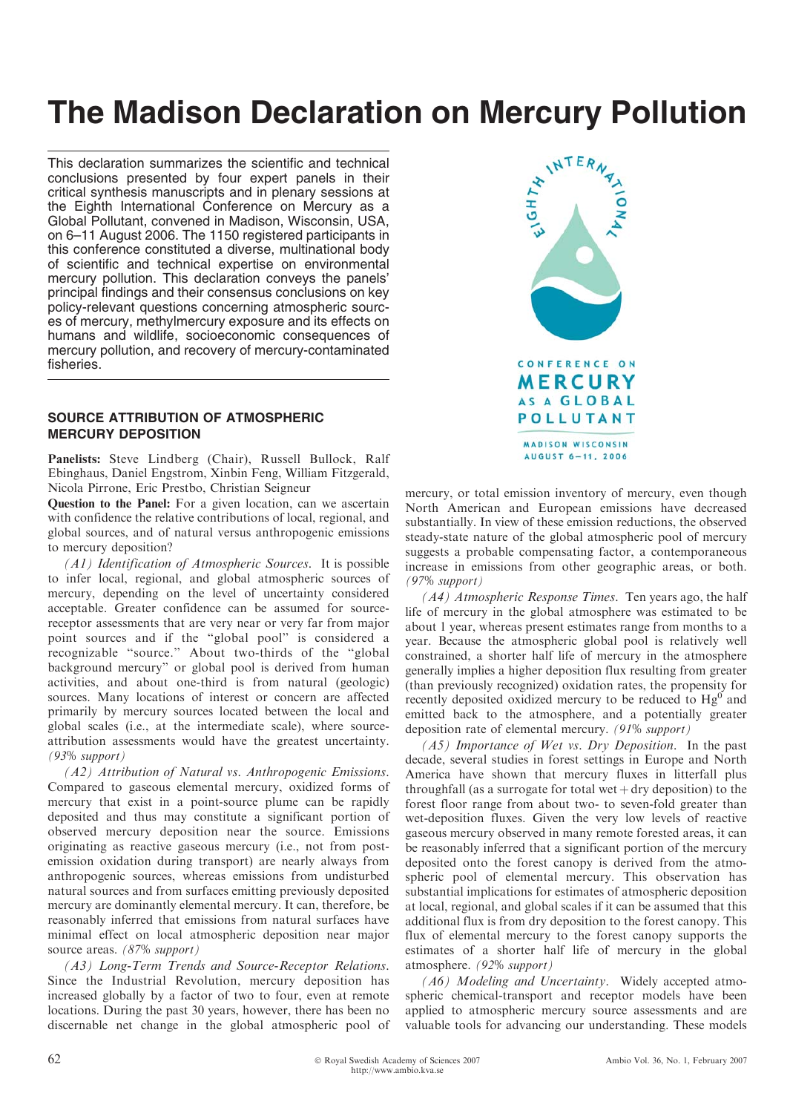# The Madison Declaration on Mercury Pollution

This declaration summarizes the scientific and technical conclusions presented by four expert panels in their critical synthesis manuscripts and in plenary sessions at the Eighth International Conference on Mercury as a Global Pollutant, convened in Madison, Wisconsin, USA, on 6–11 August 2006. The 1150 registered participants in this conference constituted a diverse, multinational body of scientific and technical expertise on environmental mercury pollution. This declaration conveys the panels' principal findings and their consensus conclusions on key policy-relevant questions concerning atmospheric sources of mercury, methylmercury exposure and its effects on humans and wildlife, socioeconomic consequences of mercury pollution, and recovery of mercury-contaminated fisheries.

# SOURCE ATTRIBUTION OF ATMOSPHERIC MERCURY DEPOSITION

Panelists: Steve Lindberg (Chair), Russell Bullock, Ralf Ebinghaus, Daniel Engstrom, Xinbin Feng, William Fitzgerald, Nicola Pirrone, Eric Prestbo, Christian Seigneur

Question to the Panel: For a given location, can we ascertain with confidence the relative contributions of local, regional, and global sources, and of natural versus anthropogenic emissions to mercury deposition?

(A1) Identification of Atmospheric Sources. It is possible to infer local, regional, and global atmospheric sources of mercury, depending on the level of uncertainty considered acceptable. Greater confidence can be assumed for sourcereceptor assessments that are very near or very far from major point sources and if the ''global pool'' is considered a recognizable ''source.'' About two-thirds of the ''global background mercury'' or global pool is derived from human activities, and about one-third is from natural (geologic) sources. Many locations of interest or concern are affected primarily by mercury sources located between the local and global scales (i.e., at the intermediate scale), where sourceattribution assessments would have the greatest uncertainty. (93% support)

(A2) Attribution of Natural vs. Anthropogenic Emissions. Compared to gaseous elemental mercury, oxidized forms of mercury that exist in a point-source plume can be rapidly deposited and thus may constitute a significant portion of observed mercury deposition near the source. Emissions originating as reactive gaseous mercury (i.e., not from postemission oxidation during transport) are nearly always from anthropogenic sources, whereas emissions from undisturbed natural sources and from surfaces emitting previously deposited mercury are dominantly elemental mercury. It can, therefore, be reasonably inferred that emissions from natural surfaces have minimal effect on local atmospheric deposition near major source areas. (87% support)

(A3) Long-Term Trends and Source-Receptor Relations. Since the Industrial Revolution, mercury deposition has increased globally by a factor of two to four, even at remote locations. During the past 30 years, however, there has been no discernable net change in the global atmospheric pool of



mercury, or total emission inventory of mercury, even though North American and European emissions have decreased substantially. In view of these emission reductions, the observed steady-state nature of the global atmospheric pool of mercury suggests a probable compensating factor, a contemporaneous increase in emissions from other geographic areas, or both. (97% support)

 $(A4)$  Atmospheric Response Times. Ten years ago, the half life of mercury in the global atmosphere was estimated to be about 1 year, whereas present estimates range from months to a year. Because the atmospheric global pool is relatively well constrained, a shorter half life of mercury in the atmosphere generally implies a higher deposition flux resulting from greater (than previously recognized) oxidation rates, the propensity for recently deposited oxidized mercury to be reduced to  $Hg<sup>0</sup>$  and emitted back to the atmosphere, and a potentially greater deposition rate of elemental mercury. (91% support)

 $(A5)$  Importance of Wet vs. Dry Deposition. In the past decade, several studies in forest settings in Europe and North America have shown that mercury fluxes in litterfall plus throughfall (as a surrogate for total wet  $+$  dry deposition) to the forest floor range from about two- to seven-fold greater than wet-deposition fluxes. Given the very low levels of reactive gaseous mercury observed in many remote forested areas, it can be reasonably inferred that a significant portion of the mercury deposited onto the forest canopy is derived from the atmospheric pool of elemental mercury. This observation has substantial implications for estimates of atmospheric deposition at local, regional, and global scales if it can be assumed that this additional flux is from dry deposition to the forest canopy. This flux of elemental mercury to the forest canopy supports the estimates of a shorter half life of mercury in the global atmosphere. (92% support)

(A6) Modeling and Uncertainty. Widely accepted atmospheric chemical-transport and receptor models have been applied to atmospheric mercury source assessments and are valuable tools for advancing our understanding. These models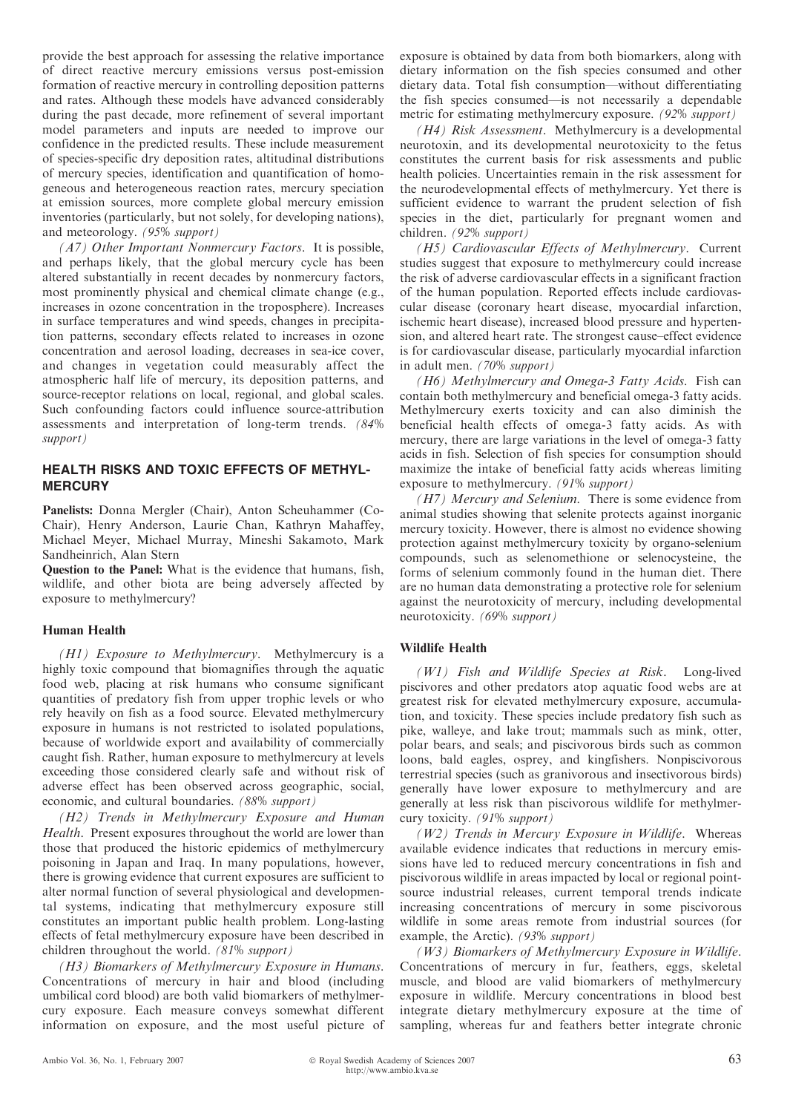provide the best approach for assessing the relative importance of direct reactive mercury emissions versus post-emission formation of reactive mercury in controlling deposition patterns and rates. Although these models have advanced considerably during the past decade, more refinement of several important model parameters and inputs are needed to improve our confidence in the predicted results. These include measurement of species-specific dry deposition rates, altitudinal distributions of mercury species, identification and quantification of homogeneous and heterogeneous reaction rates, mercury speciation at emission sources, more complete global mercury emission inventories (particularly, but not solely, for developing nations), and meteorology. (95% support)

(A7) Other Important Nonmercury Factors. It is possible, and perhaps likely, that the global mercury cycle has been altered substantially in recent decades by nonmercury factors, most prominently physical and chemical climate change (e.g., increases in ozone concentration in the troposphere). Increases in surface temperatures and wind speeds, changes in precipitation patterns, secondary effects related to increases in ozone concentration and aerosol loading, decreases in sea-ice cover, and changes in vegetation could measurably affect the atmospheric half life of mercury, its deposition patterns, and source-receptor relations on local, regional, and global scales. Such confounding factors could influence source-attribution assessments and interpretation of long-term trends. (84% support)

#### HEALTH RISKS AND TOXIC EFFECTS OF METHYL-**MERCURY**

Panelists: Donna Mergler (Chair), Anton Scheuhammer (Co-Chair), Henry Anderson, Laurie Chan, Kathryn Mahaffey, Michael Meyer, Michael Murray, Mineshi Sakamoto, Mark Sandheinrich, Alan Stern

Question to the Panel: What is the evidence that humans, fish, wildlife, and other biota are being adversely affected by exposure to methylmercury?

#### Human Health

(H1) Exposure to Methylmercury. Methylmercury is a highly toxic compound that biomagnifies through the aquatic food web, placing at risk humans who consume significant quantities of predatory fish from upper trophic levels or who rely heavily on fish as a food source. Elevated methylmercury exposure in humans is not restricted to isolated populations, because of worldwide export and availability of commercially caught fish. Rather, human exposure to methylmercury at levels exceeding those considered clearly safe and without risk of adverse effect has been observed across geographic, social, economic, and cultural boundaries. (88% support)

(H2) Trends in Methylmercury Exposure and Human Health. Present exposures throughout the world are lower than those that produced the historic epidemics of methylmercury poisoning in Japan and Iraq. In many populations, however, there is growing evidence that current exposures are sufficient to alter normal function of several physiological and developmental systems, indicating that methylmercury exposure still constitutes an important public health problem. Long-lasting effects of fetal methylmercury exposure have been described in children throughout the world. (81% support)

(H3) Biomarkers of Methylmercury Exposure in Humans. Concentrations of mercury in hair and blood (including umbilical cord blood) are both valid biomarkers of methylmercury exposure. Each measure conveys somewhat different information on exposure, and the most useful picture of exposure is obtained by data from both biomarkers, along with dietary information on the fish species consumed and other dietary data. Total fish consumption—without differentiating the fish species consumed—is not necessarily a dependable metric for estimating methylmercury exposure. (92% support)

(H4) Risk Assessment. Methylmercury is a developmental neurotoxin, and its developmental neurotoxicity to the fetus constitutes the current basis for risk assessments and public health policies. Uncertainties remain in the risk assessment for the neurodevelopmental effects of methylmercury. Yet there is sufficient evidence to warrant the prudent selection of fish species in the diet, particularly for pregnant women and children. (92% support)

(H5) Cardiovascular Effects of Methylmercury. Current studies suggest that exposure to methylmercury could increase the risk of adverse cardiovascular effects in a significant fraction of the human population. Reported effects include cardiovascular disease (coronary heart disease, myocardial infarction, ischemic heart disease), increased blood pressure and hypertension, and altered heart rate. The strongest cause–effect evidence is for cardiovascular disease, particularly myocardial infarction in adult men. (70% support)

(H6) Methylmercury and Omega-3 Fatty Acids. Fish can contain both methylmercury and beneficial omega-3 fatty acids. Methylmercury exerts toxicity and can also diminish the beneficial health effects of omega-3 fatty acids. As with mercury, there are large variations in the level of omega-3 fatty acids in fish. Selection of fish species for consumption should maximize the intake of beneficial fatty acids whereas limiting exposure to methylmercury. (91% support)

(H7) Mercury and Selenium. There is some evidence from animal studies showing that selenite protects against inorganic mercury toxicity. However, there is almost no evidence showing protection against methylmercury toxicity by organo-selenium compounds, such as selenomethione or selenocysteine, the forms of selenium commonly found in the human diet. There are no human data demonstrating a protective role for selenium against the neurotoxicity of mercury, including developmental neurotoxicity. (69% support)

#### Wildlife Health

(W1) Fish and Wildlife Species at Risk. Long-lived piscivores and other predators atop aquatic food webs are at greatest risk for elevated methylmercury exposure, accumulation, and toxicity. These species include predatory fish such as pike, walleye, and lake trout; mammals such as mink, otter, polar bears, and seals; and piscivorous birds such as common loons, bald eagles, osprey, and kingfishers. Nonpiscivorous terrestrial species (such as granivorous and insectivorous birds) generally have lower exposure to methylmercury and are generally at less risk than piscivorous wildlife for methylmercury toxicity. (91% support)

 $(W2)$  Trends in Mercury Exposure in Wildlife. Whereas available evidence indicates that reductions in mercury emissions have led to reduced mercury concentrations in fish and piscivorous wildlife in areas impacted by local or regional pointsource industrial releases, current temporal trends indicate increasing concentrations of mercury in some piscivorous wildlife in some areas remote from industrial sources (for example, the Arctic). (93% support)

(W3) Biomarkers of Methylmercury Exposure in Wildlife. Concentrations of mercury in fur, feathers, eggs, skeletal muscle, and blood are valid biomarkers of methylmercury exposure in wildlife. Mercury concentrations in blood best integrate dietary methylmercury exposure at the time of sampling, whereas fur and feathers better integrate chronic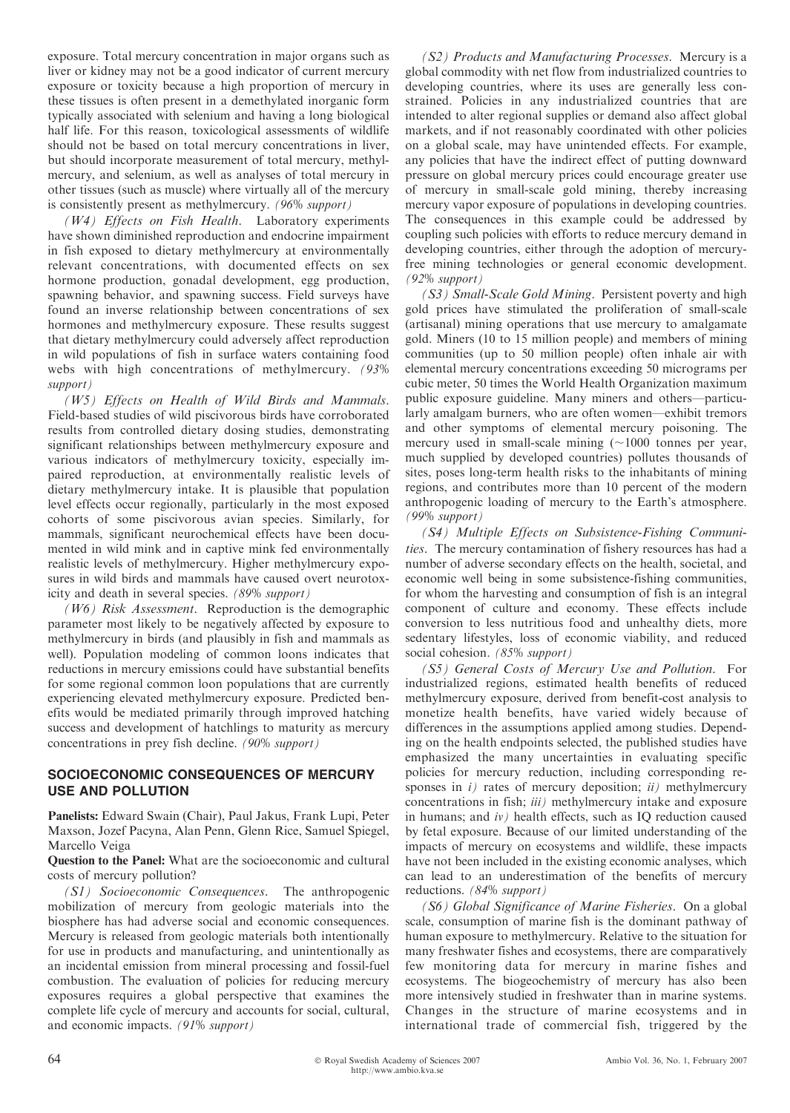exposure. Total mercury concentration in major organs such as liver or kidney may not be a good indicator of current mercury exposure or toxicity because a high proportion of mercury in these tissues is often present in a demethylated inorganic form typically associated with selenium and having a long biological half life. For this reason, toxicological assessments of wildlife should not be based on total mercury concentrations in liver, but should incorporate measurement of total mercury, methylmercury, and selenium, as well as analyses of total mercury in other tissues (such as muscle) where virtually all of the mercury is consistently present as methylmercury. (96% support)

 $(W4)$  Effects on Fish Health. Laboratory experiments have shown diminished reproduction and endocrine impairment in fish exposed to dietary methylmercury at environmentally relevant concentrations, with documented effects on sex hormone production, gonadal development, egg production, spawning behavior, and spawning success. Field surveys have found an inverse relationship between concentrations of sex hormones and methylmercury exposure. These results suggest that dietary methylmercury could adversely affect reproduction in wild populations of fish in surface waters containing food webs with high concentrations of methylmercury. (93% support)

(W5) Effects on Health of Wild Birds and Mammals. Field-based studies of wild piscivorous birds have corroborated results from controlled dietary dosing studies, demonstrating significant relationships between methylmercury exposure and various indicators of methylmercury toxicity, especially impaired reproduction, at environmentally realistic levels of dietary methylmercury intake. It is plausible that population level effects occur regionally, particularly in the most exposed cohorts of some piscivorous avian species. Similarly, for mammals, significant neurochemical effects have been documented in wild mink and in captive mink fed environmentally realistic levels of methylmercury. Higher methylmercury exposures in wild birds and mammals have caused overt neurotoxicity and death in several species. (89% support)

( $W6$ ) Risk Assessment. Reproduction is the demographic parameter most likely to be negatively affected by exposure to methylmercury in birds (and plausibly in fish and mammals as well). Population modeling of common loons indicates that reductions in mercury emissions could have substantial benefits for some regional common loon populations that are currently experiencing elevated methylmercury exposure. Predicted benefits would be mediated primarily through improved hatching success and development of hatchlings to maturity as mercury concentrations in prey fish decline. (90% support)

## SOCIOECONOMIC CONSEQUENCES OF MERCURY USE AND POLLUTION

Panelists: Edward Swain (Chair), Paul Jakus, Frank Lupi, Peter Maxson, Jozef Pacyna, Alan Penn, Glenn Rice, Samuel Spiegel, Marcello Veiga

Question to the Panel: What are the socioeconomic and cultural costs of mercury pollution?

(S1) Socioeconomic Consequences. The anthropogenic mobilization of mercury from geologic materials into the biosphere has had adverse social and economic consequences. Mercury is released from geologic materials both intentionally for use in products and manufacturing, and unintentionally as an incidental emission from mineral processing and fossil-fuel combustion. The evaluation of policies for reducing mercury exposures requires a global perspective that examines the complete life cycle of mercury and accounts for social, cultural, and economic impacts. (91% support)

(S2) Products and Manufacturing Processes. Mercury is a global commodity with net flow from industrialized countries to developing countries, where its uses are generally less constrained. Policies in any industrialized countries that are intended to alter regional supplies or demand also affect global markets, and if not reasonably coordinated with other policies on a global scale, may have unintended effects. For example, any policies that have the indirect effect of putting downward pressure on global mercury prices could encourage greater use of mercury in small-scale gold mining, thereby increasing mercury vapor exposure of populations in developing countries. The consequences in this example could be addressed by coupling such policies with efforts to reduce mercury demand in developing countries, either through the adoption of mercuryfree mining technologies or general economic development. (92% support)

(S3) Small-Scale Gold Mining. Persistent poverty and high gold prices have stimulated the proliferation of small-scale (artisanal) mining operations that use mercury to amalgamate gold. Miners (10 to 15 million people) and members of mining communities (up to 50 million people) often inhale air with elemental mercury concentrations exceeding 50 micrograms per cubic meter, 50 times the World Health Organization maximum public exposure guideline. Many miners and others—particularly amalgam burners, who are often women—exhibit tremors and other symptoms of elemental mercury poisoning. The mercury used in small-scale mining  $(\sim 1000)$  tonnes per year, much supplied by developed countries) pollutes thousands of sites, poses long-term health risks to the inhabitants of mining regions, and contributes more than 10 percent of the modern anthropogenic loading of mercury to the Earth's atmosphere. (99% support)

(S4) Multiple Effects on Subsistence-Fishing Communities. The mercury contamination of fishery resources has had a number of adverse secondary effects on the health, societal, and economic well being in some subsistence-fishing communities, for whom the harvesting and consumption of fish is an integral component of culture and economy. These effects include conversion to less nutritious food and unhealthy diets, more sedentary lifestyles, loss of economic viability, and reduced social cohesion. (85% support)

(S5) General Costs of Mercury Use and Pollution. For industrialized regions, estimated health benefits of reduced methylmercury exposure, derived from benefit-cost analysis to monetize health benefits, have varied widely because of differences in the assumptions applied among studies. Depending on the health endpoints selected, the published studies have emphasized the many uncertainties in evaluating specific policies for mercury reduction, including corresponding responses in  $i$ ) rates of mercury deposition;  $ii$ ) methylmercury concentrations in fish; *iii*) methylmercury intake and exposure in humans; and  $iv$ ) health effects, such as IQ reduction caused by fetal exposure. Because of our limited understanding of the impacts of mercury on ecosystems and wildlife, these impacts have not been included in the existing economic analyses, which can lead to an underestimation of the benefits of mercury reductions. (84% support)

(S6) Global Significance of Marine Fisheries. On a global scale, consumption of marine fish is the dominant pathway of human exposure to methylmercury. Relative to the situation for many freshwater fishes and ecosystems, there are comparatively few monitoring data for mercury in marine fishes and ecosystems. The biogeochemistry of mercury has also been more intensively studied in freshwater than in marine systems. Changes in the structure of marine ecosystems and in international trade of commercial fish, triggered by the